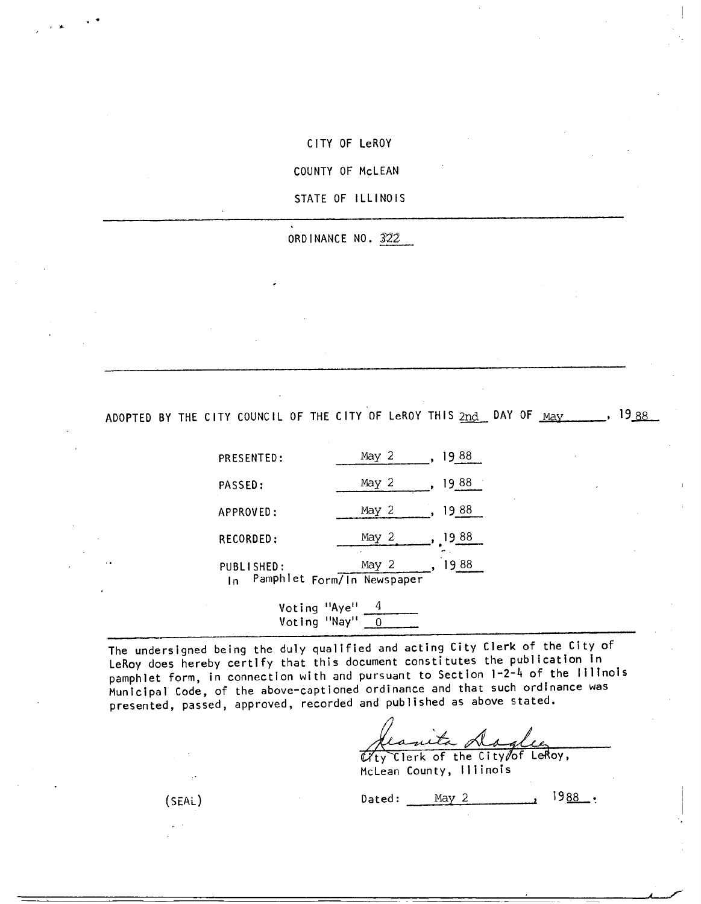CITY OF LeROY

COUNTY OF McLEAN

STATE OF ILLINOIS

ORDINANCE NO. 322

ADOPTED BY THE CITY COUNCIL OF THE CITY OF LeROY THIS  $2nd$  DAY OF  $_{\text{May}}$ , 1988

| PRESENTED:       | May 2                               |           |
|------------------|-------------------------------------|-----------|
| PASSED:          | May 2                               | 88<br>19  |
| APPROVED:        | May 2                               | 88<br>19. |
| RECORDED:        | May 2                               | 88<br>ч   |
| PUBLISHED:<br>In | May 2<br>Pamphlet Form/In Newspaper |           |

Voting "Aye" 4 Voting "Nay"  $\boxed{0}$ 

The undersigned being the duly qualified and acting City Clerk of the City of LeRoy does hereby certify that this document constitutes the publication in pamphlet form, in connection with and pursuant to Section 1-2-4 of the Illinois Municipal Code, of the above-captioned ordinance and that such ordinance was presented, passed, approved, recorded and published as above stated.

Manita <u>Maglee</u>

McLean County, Illinois

 $(SEAL)$  Dated: May 2  $1988$ .

s y.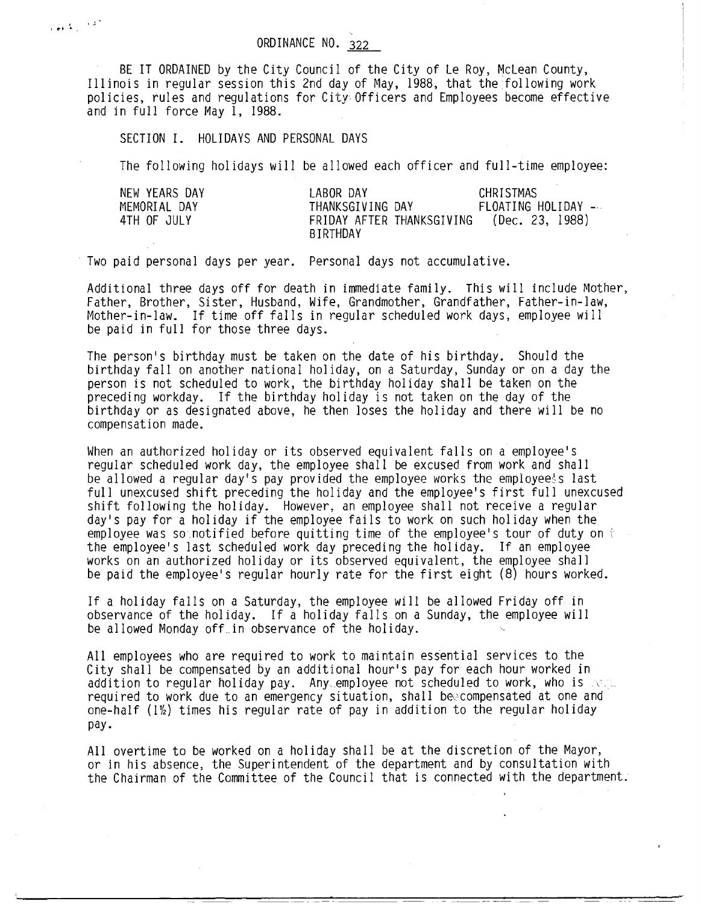## ORDINANCE N0. 322

BE IT ORDAINED by the City Council of the City of Le Roy, McLean County, Illinois in regular session this 2nd day of May, 1988, that the following work policies, rules and regulations for City Officers and Employees become effective and in full force May 1, 1988.

SECTION I. HOLIDAYS AND PERSONAL DAYS

The following holidays will be allowed each officer and full-time employee:

| NEW YEARS DAY | LABOR DAY                             | CHRISTMAS          |
|---------------|---------------------------------------|--------------------|
| MEMORIAL DAY  | THANKSGIVING DAY                      | FLOATING HOLIDAY - |
| 4TH OF JULY   | FRIDAY AFTER THANKSGIVING<br>BIRTHDAY | (Dec. 23, 1988)    |

Two paid personal days per year. Personal days not accumulative.

Additional three days off for death in immediate family. This will include Mother, Father, Brother, Sister, Husband, Wife, Grandmother, Grandfather, Father-in-law, Mother-in-law. If time off falls in regular scheduled work days, employee will be paid in full for those three days.

The person's birthday must be taken on the date of his birthday. Should the birthday fall on another national holiday, on a Saturday, Sunday or on a day the person is not scheduled to work, the birthday holiday shall be taken on the preceding workday. If the birthday holiday is not taken on the day of the birthday or as designated above, he then loses the holiday and there will be no compensation made.

When an authorized holiday or its observed equivalent falls on a employee's regular scheduled work day, the employee shall be excused from work and shall be allowed a regular day's pay provided the employee works the employee's last full unexcused shift preceding the holiday and the employee's first full unexcused shift following the holiday. However, an employee shall not receive a regular day's pay for a holiday if the employee fails to work on such holiday when the employee was sounotified before quitting time of the employee's tour of duty on  $t$ the employee's last scheduled work day preceding the holiday. If an employee works on an authorized holiday or its observed equivalent, the employee shall be paid the employee's regular hourly rate for the first eight (8) hours worked.

If a holiday falls on a Saturday, the employeewill be allowed Friday off in observance of the holiday. If a holiday falls on a Sunday, the employee will be allowed Monday off.in observance of the holiday.

All employees who are required to work to maintain essential services to the City shall be compensated by an additional hour's pay for each hour worked in addition to regular holiday pay. Any employee not scheduled to work, who is rect. required to work due to an emergency situation, shall beecompensated at one and one-half ( $1\frac{1}{2}$ ) times his regular rate of pay in addition to the regular holiday pay.

All overtime to be worked on a holiday shall be at the discretion of the Mayor, or in his absence, the Superintendent of the department and by consultation with the Chairman of the Committee of the Council that is connected with the department.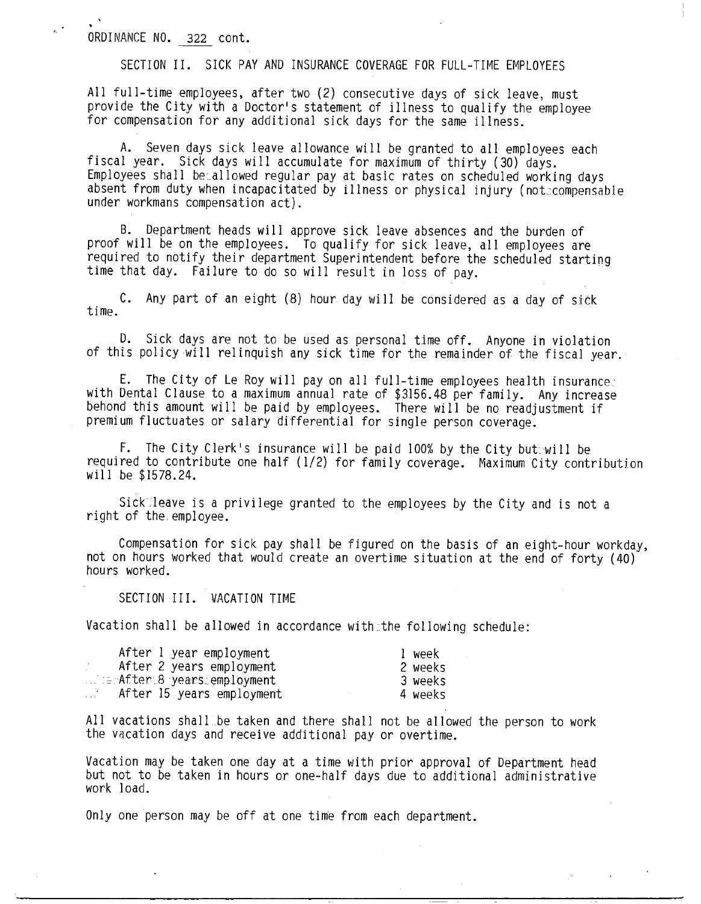# ORDINANCE NO. 322 cont.

SECTION II. SICK PAY AND INSURANCE COVERAGE FOR FULL-TIME EMPLOYEES

All full-time employees, after two (2) consecutive days of sick leave, must provide the City with a Doctor's statement of illness to qualify the employee for compensation for any additional sick days for the same illness.

A. Seven days sick leave allowance will be granted to all employees each fiscal year. Sick days will accumulate for maximum of thirty (30) days. Employees shall becallowed regular pay at basic rates on scheduled working days absent from duty when incapacitated by illness or physical injury (not:compensable under workmans compensation act).

B. Department heads will approve sick leave absences and the burden of proof will be on the employees. To qualify for sick leave, all employees are required to notify their department Superintendent before the scheduled starting time that day. Failure to do so will result in loss of pay.

time. C. Any part of an eight (8) hour day will be considered as a day of sick

D. Sick days are not to be used as personal time off. Anyone in violation of this policy will relinquish any sick time for the remainder of the fiscal year.

E. The City of Le Roy will pay on all full-time employees health insurance: with Dental Clause to a maximum annual rate of \$3156.48 per family. Any increase behond this amount will be paid by employees. There will be no readjustment if premium fluctuates or salary differential for single person coverage.

F. The City Clerk's insurance will be paid 100% by the City but.will be required to contribute one half (1/2) for family coverage. Maximum City contribution will be \$1578.24.

Sick<sup>-</sup>leave is a privilege granted to the employees by the City and is not a right of the.employee.

Compensation for sick pay shall be figured on the basis of an eight-hour workday, not on hours worked that would create an overtime situation at the end of forty (40) hours worked.

SECTION III. VACATION TIME

Vacation shall be allowed in accordance with the following schedule:

| After 1 year employment                   | l week  |
|-------------------------------------------|---------|
| After 2 years employment<br>-200          | 2 weeks |
| terAfter 8 years employment               | 3 weeks |
| . . 7 .<br>.<br>After 15 years employment | 4 weeks |

All vacations shall.be taken and there shall not be allowed the person to work the vacation days and receive additional pay or overtime.

Vacation may be taken one day at a time with prior approval of Department head but not to be taken in hours or one-half days due to additional administrative work load.

Only one person may be off at one time from each department.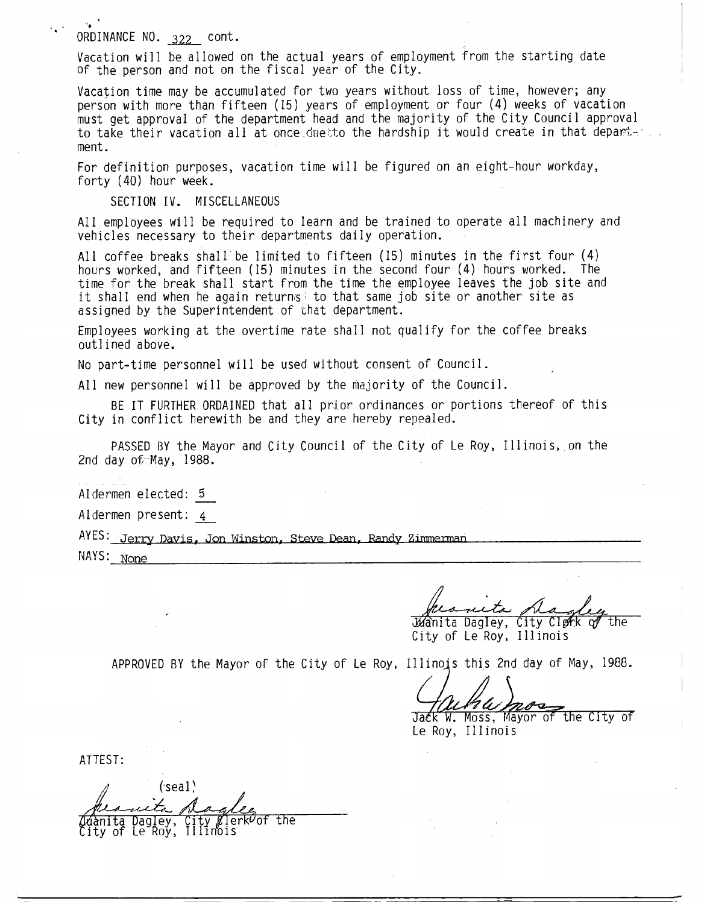## ORDINANCE N0. 322 cont.

Vacation will be allowed on the actual years of employment from the starting date of the person and not on the fiscal year of the City.

Vacation time may be accumulated for two years without loss of time, however; any person with more than fifteen (15) years of employment or four (4) weeks of vacation must get approval of the department head and the majority of the City Council approval to take their vacation all at once duetto the hardship it would create in that department.

For definition purposes, vacation time will be figured on an eight-hour workday, forty (40) hour week.

SECTION IV. MISCELLANEOUS

All employees will be required to learn and be trained to operate all machinery and vehicles necessary to their departments daily operation.

All coffee breaks shall'be limited to fifteen (15) minutes in the first four (4) hours worked, and fifteen (15) minutes in the second four (4) hours worked. The time for the break shall start from the time the employee leaves the job site and it shall end when he again returns' to that same job site or another site as assigned by the Superintendent of that department.

Employees working at the overtime rate shall not qualify for the coffee breaks outlined above.

No part-time personnel will be used without consent of Council.

All new personnel will be approved by the majority of the Council.

BE IT FURTHER ORDAINED that all prior ordinances or portions thereof of this City in conflict herewith be and they are hereby repealed.

PASSED BY the Mayor and City Council of the City of Le Roy, Illinois, on the 2nd day of May, 1988.

Aldermen elected: 5

Aldermen present: 4

AYES: Jerry Davis, Jon Winston, Steve Dean, Randy Zimmerman  $NAYS: None$ 

 $M$ anita Dagley, City Clerk

City of Le Roy, Illinois

APPROVED BY the Mayor of the City of Le Roy, Illinois this 2nd day of May, 1988.

*a Murru Mac* 

Le Roy, Illinois

ATTEST:

 $(s$ eal $)$ nita Dagley,<br>y of Le Roy, City Ølerk<sup>v</sup>of the ity of Le Roy, Illinois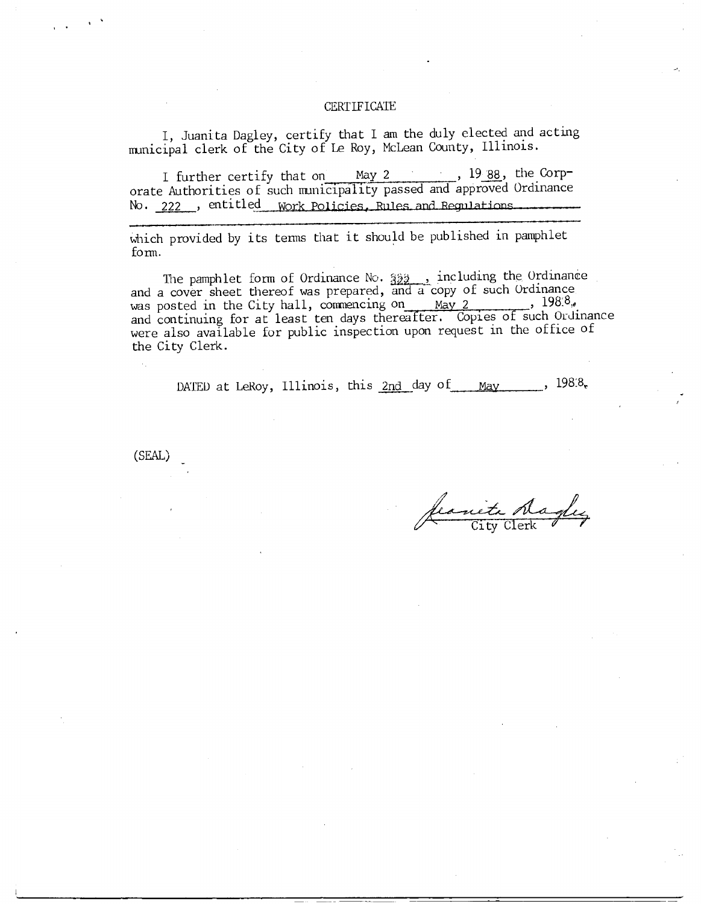#### **CERTIFICATE**

I, Juanita Dagley, certify that I am the duly elected and acting municipal clerk of the City of Le Roy, McLean County, Illinois.

I further certify that on May 2 , 1988, the Corporate Authorities of such municipality passed and approved Ordinance No. 222 , entitled Work Policies, Rules and Regulations

which provided by its terms that it should be published in pamphlet form.

The pamphlet form of Ordinance No.  $322$ , including the Ordinance and a cover sheet thereof was prepared, and a copy of such Ordinance The pamphlet form of Ordinance No.  $\frac{322}{32}$ , including the Ordinance<br>and a cover sheet thereof was prepared, and a copy of such Ordinance<br>was posted in the City hall, commencing on May 2 1988, was posted in the City hall, commencing on May 2 1988, 1988, were also available for public inspection upon request in the office of the City Clerk.

DATED at LeRoy, Illinois, this  $2nd$  day of May ,  $198.8$ ,

(SEAL'

ite dagles

F